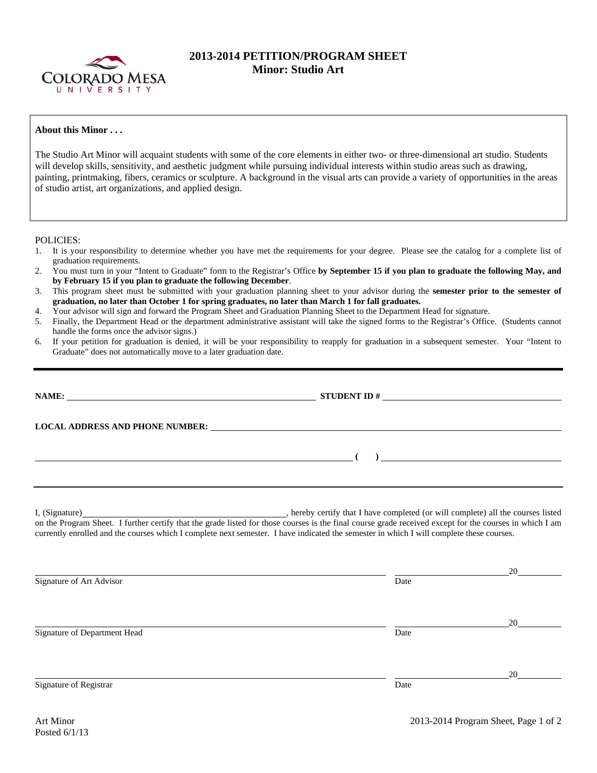

## **2013-2014 PETITION/PROGRAM SHEET Minor: Studio Art**

## **About this Minor . . .**

The Studio Art Minor will acquaint students with some of the core elements in either two- or three-dimensional art studio. Students will develop skills, sensitivity, and aesthetic judgment while pursuing individual interests within studio areas such as drawing, painting, printmaking, fibers, ceramics or sculpture. A background in the visual arts can provide a variety of opportunities in the areas of studio artist, art organizations, and applied design.

POLICIES:

- 1. It is your responsibility to determine whether you have met the requirements for your degree. Please see the catalog for a complete list of graduation requirements.
- 2. You must turn in your "Intent to Graduate" form to the Registrar's Office **by September 15 if you plan to graduate the following May, and by February 15 if you plan to graduate the following December**.
- 3. This program sheet must be submitted with your graduation planning sheet to your advisor during the **semester prior to the semester of graduation, no later than October 1 for spring graduates, no later than March 1 for fall graduates.**
- 4. Your advisor will sign and forward the Program Sheet and Graduation Planning Sheet to the Department Head for signature.
- 5. Finally, the Department Head or the department administrative assistant will take the signed forms to the Registrar's Office. (Students cannot handle the forms once the advisor signs.)
- 6. If your petition for graduation is denied, it will be your responsibility to reapply for graduation in a subsequent semester. Your "Intent to Graduate" does not automatically move to a later graduation date.

|                                                                                                                                                                                                                                                                                                     | LOCAL ADDRESS AND PHONE NUMBER: University of the contract of the contract of the contract of the contract of the contract of the contract of the contract of the contract of the contract of the contract of the contract of |                          |  |  |
|-----------------------------------------------------------------------------------------------------------------------------------------------------------------------------------------------------------------------------------------------------------------------------------------------------|-------------------------------------------------------------------------------------------------------------------------------------------------------------------------------------------------------------------------------|--------------------------|--|--|
|                                                                                                                                                                                                                                                                                                     |                                                                                                                                                                                                                               | $\overline{\phantom{a}}$ |  |  |
| on the Program Sheet. I further certify that the grade listed for those courses is the final course grade received except for the courses in which I am<br>currently enrolled and the courses which I complete next semester. I have indicated the semester in which I will complete these courses. |                                                                                                                                                                                                                               |                          |  |  |
| Signature of Art Advisor                                                                                                                                                                                                                                                                            | Date                                                                                                                                                                                                                          | 20 $\sim$                |  |  |

Signature of Department Head Date

<u>20</u>

Signature of Registrar Date Date of Registrar Date Date of Registrar Date Date of Registrar Date of Registrar Date of Registrar  $\sim$  Date of Registrar  $\sim$  Date of Registrar  $\sim$  Date of Registrar  $\sim$  Date of Registrar  $\$